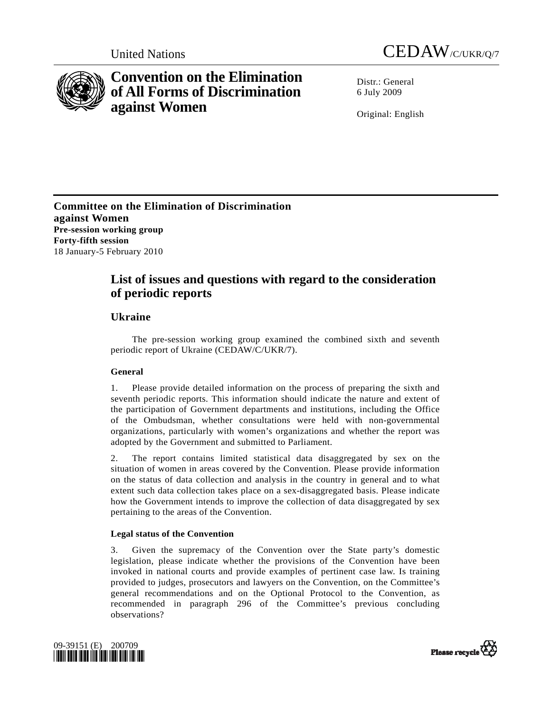



# **Convention on the Elimination of All Forms of Discrimination against Women**

Distr · General 6 July 2009

Original: English

**Committee on the Elimination of Discrimination against Women Pre-session working group Forty-fifth session**  18 January-5 February 2010

## **List of issues and questions with regard to the consideration of periodic reports**

## **Ukraine**

 The pre-session working group examined the combined sixth and seventh periodic report of Ukraine (CEDAW/C/UKR/7).

## **General**

1. Please provide detailed information on the process of preparing the sixth and seventh periodic reports. This information should indicate the nature and extent of the participation of Government departments and institutions, including the Office of the Ombudsman, whether consultations were held with non-governmental organizations, particularly with women's organizations and whether the report was adopted by the Government and submitted to Parliament.

2. The report contains limited statistical data disaggregated by sex on the situation of women in areas covered by the Convention. Please provide information on the status of data collection and analysis in the country in general and to what extent such data collection takes place on a sex-disaggregated basis. Please indicate how the Government intends to improve the collection of data disaggregated by sex pertaining to the areas of the Convention.

## **Legal status of the Convention**

3. Given the supremacy of the Convention over the State party's domestic legislation, please indicate whether the provisions of the Convention have been invoked in national courts and provide examples of pertinent case law. Is training provided to judges, prosecutors and lawyers on the Convention, on the Committee's general recommendations and on the Optional Protocol to the Convention, as recommended in paragraph 296 of the Committee's previous concluding observations?



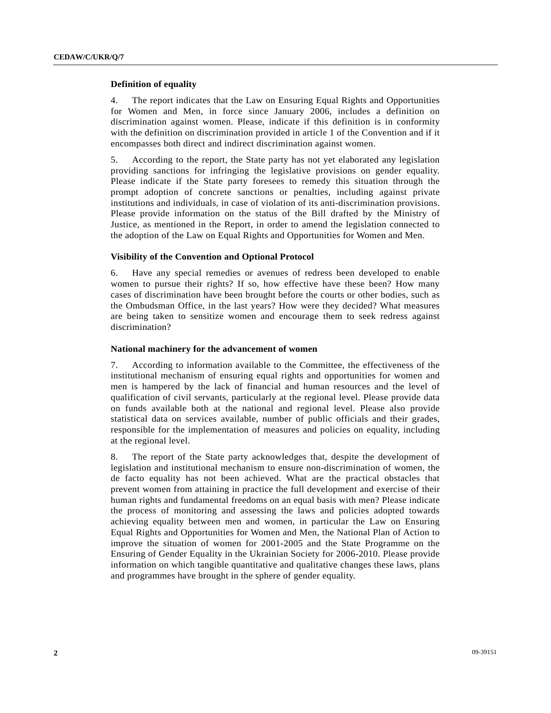### **Definition of equality**

4. The report indicates that the Law on Ensuring Equal Rights and Opportunities for Women and Men, in force since January 2006, includes a definition on discrimination against women. Please, indicate if this definition is in conformity with the definition on discrimination provided in article 1 of the Convention and if it encompasses both direct and indirect discrimination against women.

5. According to the report, the State party has not yet elaborated any legislation providing sanctions for infringing the legislative provisions on gender equality. Please indicate if the State party foresees to remedy this situation through the prompt adoption of concrete sanctions or penalties, including against private institutions and individuals, in case of violation of its anti-discrimination provisions. Please provide information on the status of the Bill drafted by the Ministry of Justice, as mentioned in the Report, in order to amend the legislation connected to the adoption of the Law on Equal Rights and Opportunities for Women and Men.

## **Visibility of the Convention and Optional Protocol**

6. Have any special remedies or avenues of redress been developed to enable women to pursue their rights? If so, how effective have these been? How many cases of discrimination have been brought before the courts or other bodies, such as the Ombudsman Office, in the last years? How were they decided? What measures are being taken to sensitize women and encourage them to seek redress against discrimination?

#### **National machinery for the advancement of women**

7. According to information available to the Committee, the effectiveness of the institutional mechanism of ensuring equal rights and opportunities for women and men is hampered by the lack of financial and human resources and the level of qualification of civil servants, particularly at the regional level. Please provide data on funds available both at the national and regional level. Please also provide statistical data on services available, number of public officials and their grades, responsible for the implementation of measures and policies on equality, including at the regional level.

8. The report of the State party acknowledges that, despite the development of legislation and institutional mechanism to ensure non-discrimination of women, the de facto equality has not been achieved. What are the practical obstacles that prevent women from attaining in practice the full development and exercise of their human rights and fundamental freedoms on an equal basis with men? Please indicate the process of monitoring and assessing the laws and policies adopted towards achieving equality between men and women, in particular the Law on Ensuring Equal Rights and Opportunities for Women and Men, the National Plan of Action to improve the situation of women for 2001-2005 and the State Programme on the Ensuring of Gender Equality in the Ukrainian Society for 2006-2010. Please provide information on which tangible quantitative and qualitative changes these laws, plans and programmes have brought in the sphere of gender equality.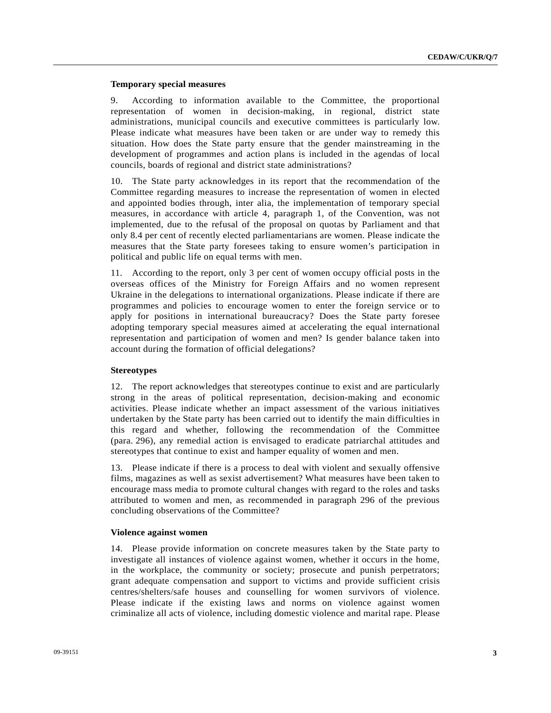## **Temporary special measures**

9. According to information available to the Committee, the proportional representation of women in decision-making, in regional, district state administrations, municipal councils and executive committees is particularly low. Please indicate what measures have been taken or are under way to remedy this situation. How does the State party ensure that the gender mainstreaming in the development of programmes and action plans is included in the agendas of local councils, boards of regional and district state administrations?

10. The State party acknowledges in its report that the recommendation of the Committee regarding measures to increase the representation of women in elected and appointed bodies through, inter alia, the implementation of temporary special measures, in accordance with article 4, paragraph 1, of the Convention, was not implemented, due to the refusal of the proposal on quotas by Parliament and that only 8.4 per cent of recently elected parliamentarians are women. Please indicate the measures that the State party foresees taking to ensure women's participation in political and public life on equal terms with men.

11. According to the report, only 3 per cent of women occupy official posts in the overseas offices of the Ministry for Foreign Affairs and no women represent Ukraine in the delegations to international organizations. Please indicate if there are programmes and policies to encourage women to enter the foreign service or to apply for positions in international bureaucracy? Does the State party foresee adopting temporary special measures aimed at accelerating the equal international representation and participation of women and men? Is gender balance taken into account during the formation of official delegations?

## **Stereotypes**

12. The report acknowledges that stereotypes continue to exist and are particularly strong in the areas of political representation, decision-making and economic activities. Please indicate whether an impact assessment of the various initiatives undertaken by the State party has been carried out to identify the main difficulties in this regard and whether, following the recommendation of the Committee (para. 296), any remedial action is envisaged to eradicate patriarchal attitudes and stereotypes that continue to exist and hamper equality of women and men.

13. Please indicate if there is a process to deal with violent and sexually offensive films, magazines as well as sexist advertisement? What measures have been taken to encourage mass media to promote cultural changes with regard to the roles and tasks attributed to women and men, as recommended in paragraph 296 of the previous concluding observations of the Committee?

#### **Violence against women**

14. Please provide information on concrete measures taken by the State party to investigate all instances of violence against women, whether it occurs in the home, in the workplace, the community or society; prosecute and punish perpetrators; grant adequate compensation and support to victims and provide sufficient crisis centres/shelters/safe houses and counselling for women survivors of violence. Please indicate if the existing laws and norms on violence against women criminalize all acts of violence, including domestic violence and marital rape. Please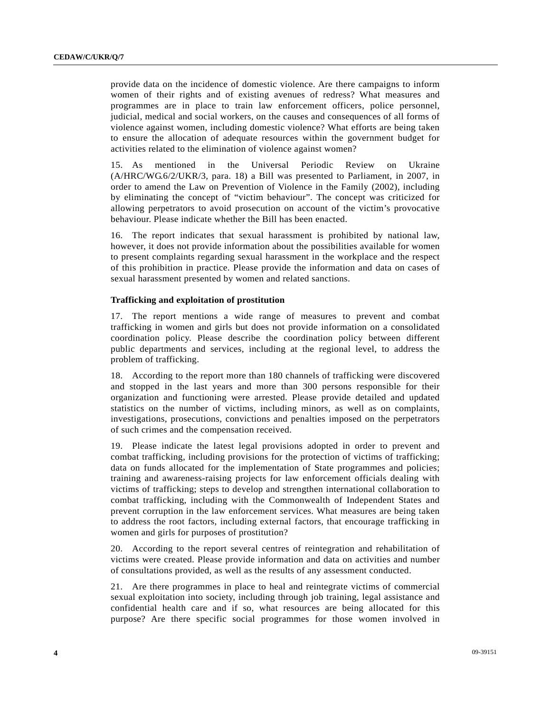provide data on the incidence of domestic violence. Are there campaigns to inform women of their rights and of existing avenues of redress? What measures and programmes are in place to train law enforcement officers, police personnel, judicial, medical and social workers, on the causes and consequences of all forms of violence against women, including domestic violence? What efforts are being taken to ensure the allocation of adequate resources within the government budget for activities related to the elimination of violence against women?

15. As mentioned in the Universal Periodic Review on Ukraine (A/HRC/WG.6/2/UKR/3, para. 18) a Bill was presented to Parliament, in 2007, in order to amend the Law on Prevention of Violence in the Family (2002), including by eliminating the concept of "victim behaviour". The concept was criticized for allowing perpetrators to avoid prosecution on account of the victim's provocative behaviour. Please indicate whether the Bill has been enacted.

16. The report indicates that sexual harassment is prohibited by national law, however, it does not provide information about the possibilities available for women to present complaints regarding sexual harassment in the workplace and the respect of this prohibition in practice. Please provide the information and data on cases of sexual harassment presented by women and related sanctions.

### **Trafficking and exploitation of prostitution**

17. The report mentions a wide range of measures to prevent and combat trafficking in women and girls but does not provide information on a consolidated coordination policy. Please describe the coordination policy between different public departments and services, including at the regional level, to address the problem of trafficking.

18. According to the report more than 180 channels of trafficking were discovered and stopped in the last years and more than 300 persons responsible for their organization and functioning were arrested. Please provide detailed and updated statistics on the number of victims, including minors, as well as on complaints, investigations, prosecutions, convictions and penalties imposed on the perpetrators of such crimes and the compensation received.

19. Please indicate the latest legal provisions adopted in order to prevent and combat trafficking, including provisions for the protection of victims of trafficking; data on funds allocated for the implementation of State programmes and policies; training and awareness-raising projects for law enforcement officials dealing with victims of trafficking; steps to develop and strengthen international collaboration to combat trafficking, including with the Commonwealth of Independent States and prevent corruption in the law enforcement services. What measures are being taken to address the root factors, including external factors, that encourage trafficking in women and girls for purposes of prostitution?

20. According to the report several centres of reintegration and rehabilitation of victims were created. Please provide information and data on activities and number of consultations provided, as well as the results of any assessment conducted.

21. Are there programmes in place to heal and reintegrate victims of commercial sexual exploitation into society, including through job training, legal assistance and confidential health care and if so, what resources are being allocated for this purpose? Are there specific social programmes for those women involved in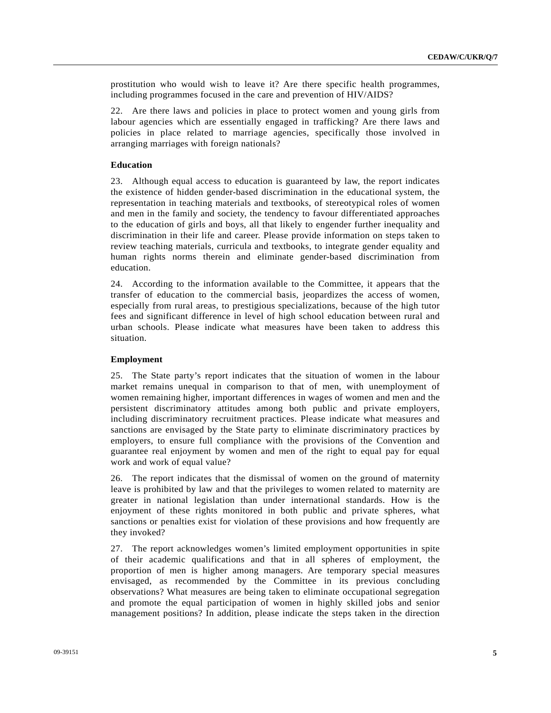prostitution who would wish to leave it? Are there specific health programmes, including programmes focused in the care and prevention of HIV/AIDS?

22. Are there laws and policies in place to protect women and young girls from labour agencies which are essentially engaged in trafficking? Are there laws and policies in place related to marriage agencies, specifically those involved in arranging marriages with foreign nationals?

### **Education**

23. Although equal access to education is guaranteed by law, the report indicates the existence of hidden gender-based discrimination in the educational system, the representation in teaching materials and textbooks, of stereotypical roles of women and men in the family and society, the tendency to favour differentiated approaches to the education of girls and boys, all that likely to engender further inequality and discrimination in their life and career. Please provide information on steps taken to review teaching materials, curricula and textbooks, to integrate gender equality and human rights norms therein and eliminate gender-based discrimination from education.

24. According to the information available to the Committee, it appears that the transfer of education to the commercial basis, jeopardizes the access of women, especially from rural areas, to prestigious specializations, because of the high tutor fees and significant difference in level of high school education between rural and urban schools. Please indicate what measures have been taken to address this situation.

## **Employment**

25. The State party's report indicates that the situation of women in the labour market remains unequal in comparison to that of men, with unemployment of women remaining higher, important differences in wages of women and men and the persistent discriminatory attitudes among both public and private employers, including discriminatory recruitment practices. Please indicate what measures and sanctions are envisaged by the State party to eliminate discriminatory practices by employers, to ensure full compliance with the provisions of the Convention and guarantee real enjoyment by women and men of the right to equal pay for equal work and work of equal value?

26. The report indicates that the dismissal of women on the ground of maternity leave is prohibited by law and that the privileges to women related to maternity are greater in national legislation than under international standards. How is the enjoyment of these rights monitored in both public and private spheres, what sanctions or penalties exist for violation of these provisions and how frequently are they invoked?

27. The report acknowledges women's limited employment opportunities in spite of their academic qualifications and that in all spheres of employment, the proportion of men is higher among managers. Are temporary special measures envisaged, as recommended by the Committee in its previous concluding observations? What measures are being taken to eliminate occupational segregation and promote the equal participation of women in highly skilled jobs and senior management positions? In addition, please indicate the steps taken in the direction